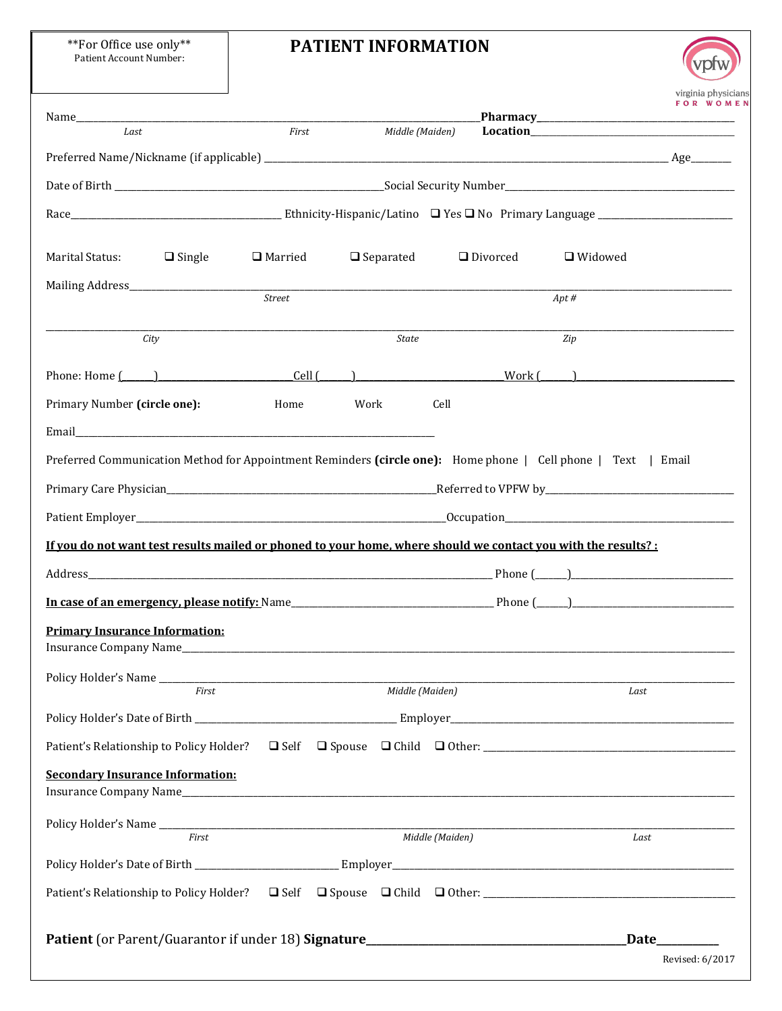\*\*For Office use only\*\* Patient Account Number:

## **PATIENT INFORMATION**

vpfw

|                                                                                                               |               |                          |                 |            | virginia physiciar<br>FOR WOME. |
|---------------------------------------------------------------------------------------------------------------|---------------|--------------------------|-----------------|------------|---------------------------------|
|                                                                                                               |               |                          |                 |            |                                 |
| Last                                                                                                          |               | First<br>Middle (Maiden) |                 |            |                                 |
|                                                                                                               |               |                          |                 |            |                                 |
|                                                                                                               |               |                          |                 |            |                                 |
|                                                                                                               |               |                          |                 |            |                                 |
| Marital Status:<br>$\Box$ Single                                                                              | □ Married     | $\Box$ Separated         | □ Divorced      | □ Widowed  |                                 |
|                                                                                                               | <b>Street</b> |                          |                 | $Apt \, #$ |                                 |
| City                                                                                                          |               | <b>State</b>             |                 | Zip        |                                 |
| Phone: Home $(\begin{array}{c} \begin{array}{c} \end{array}$ (ell $(\begin{array}{c} \end{array}$ )           |               |                          |                 |            |                                 |
| Primary Number (circle one):                                                                                  | Home          | Work                     | Cell            |            |                                 |
| Email and the contract of the contract of the contract of the contract of the contract of the contract of the |               |                          |                 |            |                                 |
| Preferred Communication Method for Appointment Reminders (circle one): Home phone   Cell phone   Text   Email |               |                          |                 |            |                                 |
|                                                                                                               |               |                          |                 |            |                                 |
|                                                                                                               |               |                          |                 |            |                                 |
| If you do not want test results mailed or phoned to your home, where should we contact you with the results?: |               |                          |                 |            |                                 |
|                                                                                                               |               |                          |                 |            |                                 |
|                                                                                                               |               |                          |                 |            |                                 |
| <b>Primary Insurance Information:</b><br>Insurance Company Name_                                              |               |                          |                 |            |                                 |
|                                                                                                               |               |                          |                 |            |                                 |
| First                                                                                                         |               | Middle (Maiden)          |                 | Last       |                                 |
|                                                                                                               |               |                          |                 |            |                                 |
| Patient's Relationship to Policy Holder? $\Box$ Self $\Box$ Spouse $\Box$ Child $\Box$ Other:                 |               |                          |                 |            |                                 |
| <b>Secondary Insurance Information:</b>                                                                       |               |                          |                 |            |                                 |
|                                                                                                               |               |                          |                 |            |                                 |
| First                                                                                                         |               |                          | Middle (Maiden) | Last       |                                 |
|                                                                                                               |               |                          |                 |            |                                 |
|                                                                                                               |               |                          |                 |            |                                 |
| Patient (or Parent/Guarantor if under 18) Signature______________________________                             |               |                          |                 |            | Date_________                   |
|                                                                                                               |               |                          |                 |            | Revised: 6/2017                 |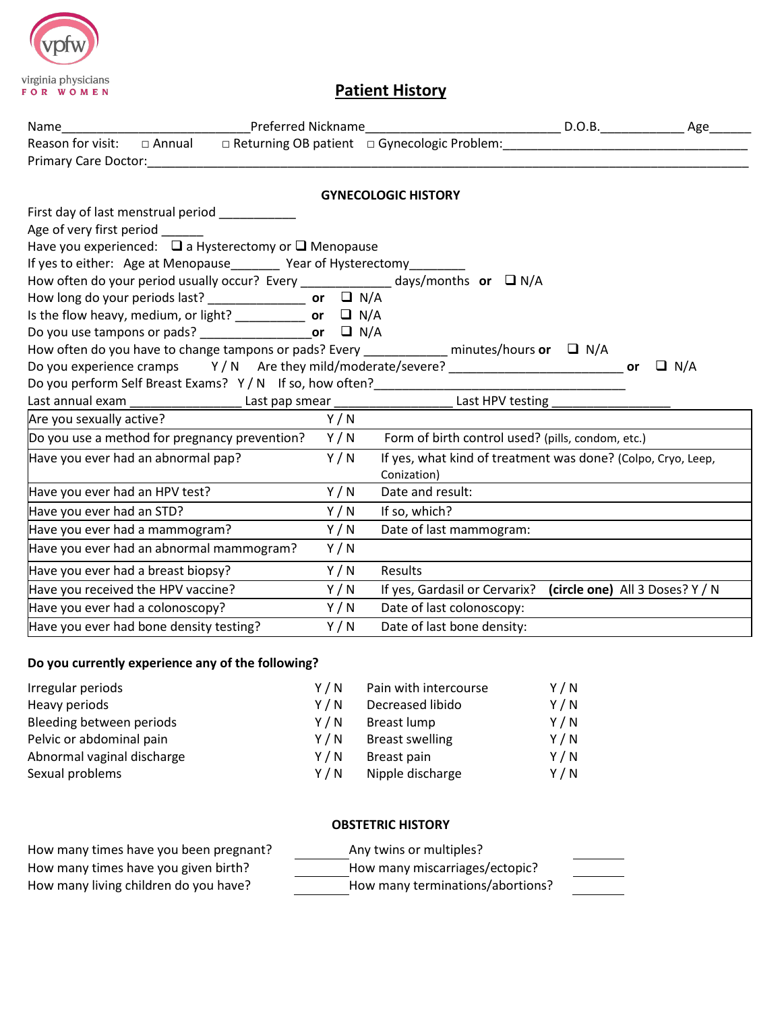

## **Patient History**

|                                    | Primary Care Doctor: Note that the contract of the contract of the contract of the contract of the contract of                                                                                                                                                                                                                                                                                                                                                                           |       |                                                                                                               |            |
|------------------------------------|------------------------------------------------------------------------------------------------------------------------------------------------------------------------------------------------------------------------------------------------------------------------------------------------------------------------------------------------------------------------------------------------------------------------------------------------------------------------------------------|-------|---------------------------------------------------------------------------------------------------------------|------------|
|                                    |                                                                                                                                                                                                                                                                                                                                                                                                                                                                                          |       | <b>GYNECOLOGIC HISTORY</b>                                                                                    |            |
| Age of very first period           | First day of last menstrual period<br>Have you experienced: $\Box$ a Hysterectomy or $\Box$ Menopause<br>If yes to either: Age at Menopause________ Year of Hysterectomy_<br>How often do your period usually occur? Every ______________ days/months or $\Box$ N/A<br>How long do your periods last? $\frac{1}{\sqrt{2}}$ or $\Box$ N/A<br>Is the flow heavy, medium, or light? $\frac{1}{\sqrt{2}}$ or $\Box$ N/A<br>Do you use tampons or pads? ________________________or $\Box$ N/A |       | How often do you have to change tampons or pads? Every ____________ minutes/hours or $\Box$ N/A               | $\Box$ N/A |
|                                    | Do you perform Self Breast Exams? Y / N If so, how often?__________                                                                                                                                                                                                                                                                                                                                                                                                                      |       | Last annual exam _______________________Last pap smear _________________________Last HPV testing ____________ |            |
| Are you sexually active?           |                                                                                                                                                                                                                                                                                                                                                                                                                                                                                          | Y / N |                                                                                                               |            |
|                                    | Do you use a method for pregnancy prevention?                                                                                                                                                                                                                                                                                                                                                                                                                                            | Y/N   | Form of birth control used? (pills, condom, etc.)                                                             |            |
| Have you ever had an abnormal pap? |                                                                                                                                                                                                                                                                                                                                                                                                                                                                                          | Y/N   | If yes, what kind of treatment was done? (Colpo, Cryo, Leep,<br>Conization)                                   |            |
| Have you ever had an HPV test?     |                                                                                                                                                                                                                                                                                                                                                                                                                                                                                          | Y/N   | Date and result:                                                                                              |            |
| Have you ever had an STD?          |                                                                                                                                                                                                                                                                                                                                                                                                                                                                                          | Y/N   | If so, which?                                                                                                 |            |
| Have you ever had a mammogram?     |                                                                                                                                                                                                                                                                                                                                                                                                                                                                                          | Y/N   | Date of last mammogram:                                                                                       |            |
|                                    | Have you ever had an abnormal mammogram?                                                                                                                                                                                                                                                                                                                                                                                                                                                 | Y/N   |                                                                                                               |            |
| Have you ever had a breast biopsy? |                                                                                                                                                                                                                                                                                                                                                                                                                                                                                          | Y/N   | Results                                                                                                       |            |
| Have you received the HPV vaccine? |                                                                                                                                                                                                                                                                                                                                                                                                                                                                                          | Y/N   | If yes, Gardasil or Cervarix? (circle one) All 3 Doses? Y / N                                                 |            |
| Have you ever had a colonoscopy?   |                                                                                                                                                                                                                                                                                                                                                                                                                                                                                          | Y/N   | Date of last colonoscopy:                                                                                     |            |
|                                    | Have you ever had bone density testing?                                                                                                                                                                                                                                                                                                                                                                                                                                                  | Y/N   | Date of last bone density:                                                                                    |            |

## **Do you currently experience any of the following?**

| Irregular periods          | Y / N | Pain with intercourse  | Y/N   |
|----------------------------|-------|------------------------|-------|
| Heavy periods              | Y/N   | Decreased libido       | Y/N   |
| Bleeding between periods   | Y / N | Breast lump            | Y/N   |
| Pelvic or abdominal pain   | Y / N | <b>Breast swelling</b> | Y/N   |
| Abnormal vaginal discharge | Y/N   | Breast pain            | Y / N |
| Sexual problems            | Y/N   | Nipple discharge       | Y/N   |

## **OBSTETRIC HISTORY**

| How many times have you been pregnant? | Any twins or multiples?          |  |
|----------------------------------------|----------------------------------|--|
| How many times have you given birth?   | How many miscarriages/ectopic?   |  |
| How many living children do you have?  | How many terminations/abortions? |  |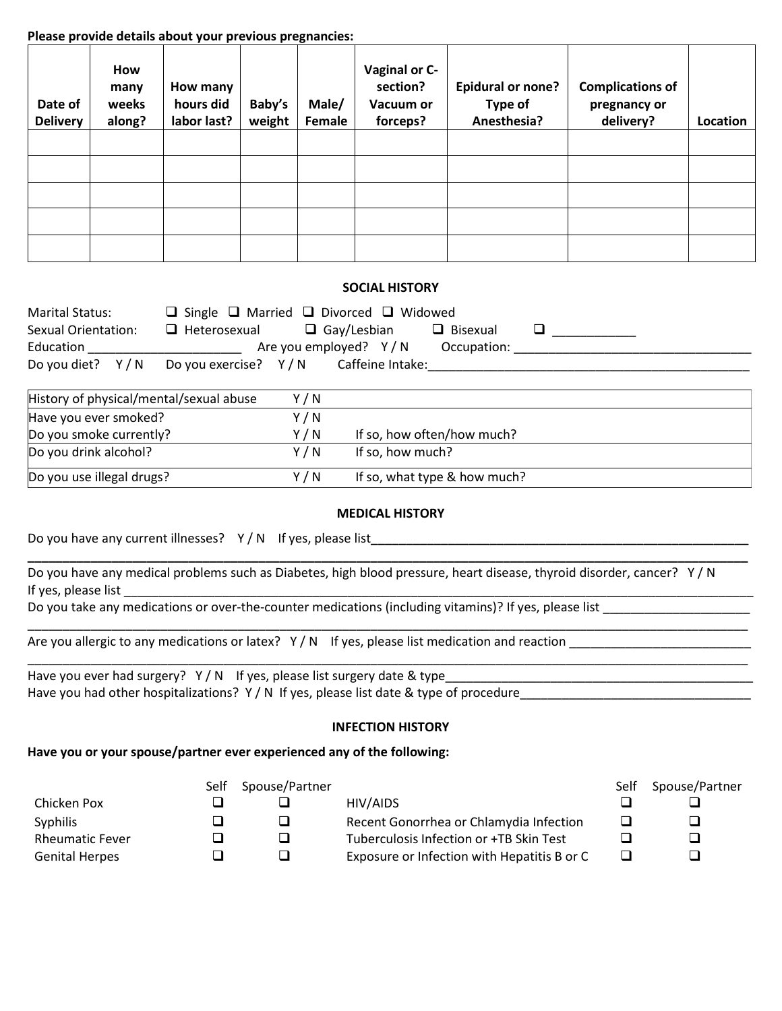### **Please provide details about your previous pregnancies:**

| Date of<br><b>Delivery</b> | How<br>many<br>weeks<br>along? | How many<br>hours did<br>labor last? | Baby's<br>weight | Male/<br>Female | Vaginal or C-<br>section?<br>Vacuum or<br>forceps? | <b>Epidural or none?</b><br>Type of<br>Anesthesia? | <b>Complications of</b><br>pregnancy or<br>delivery? | Location |
|----------------------------|--------------------------------|--------------------------------------|------------------|-----------------|----------------------------------------------------|----------------------------------------------------|------------------------------------------------------|----------|
|                            |                                |                                      |                  |                 |                                                    |                                                    |                                                      |          |
|                            |                                |                                      |                  |                 |                                                    |                                                    |                                                      |          |
|                            |                                |                                      |                  |                 |                                                    |                                                    |                                                      |          |
|                            |                                |                                      |                  |                 |                                                    |                                                    |                                                      |          |
|                            |                                |                                      |                  |                 |                                                    |                                                    |                                                      |          |

## **SOCIAL HISTORY**

| <b>Marital Status:</b> | $\Box$ Single $\Box$ Married $\Box$ Divorced $\Box$ Widowed  |
|------------------------|--------------------------------------------------------------|
| Sexual Orientation:    | $\Box$ Gay/Lesbian<br>$\Box$ Bisexual<br>$\Box$ Heterosexual |
| Education              | Are you employed? $Y/N$<br>Occupation:                       |
|                        | Do you diet? $Y/N$ Do you exercise? $Y/N$ Caffeine Intake:   |

| History of physical/mental/sexual abuse | Y/N   |                              |
|-----------------------------------------|-------|------------------------------|
| Have you ever smoked?                   | Y/N   |                              |
| Do you smoke currently?                 | Y/N   | If so, how often/how much?   |
| Do you drink alcohol?                   | Y / N | If so, how much?             |
| Do you use illegal drugs?               | Y/N   | If so, what type & how much? |

### **MEDICAL HISTORY**

**\_\_\_\_\_\_\_\_\_\_\_\_\_\_\_\_\_\_\_\_\_\_\_\_\_\_\_\_\_\_\_\_\_\_\_\_\_\_\_\_\_\_\_\_\_\_\_\_\_\_\_\_\_\_\_\_\_\_\_\_\_\_\_\_\_\_\_\_\_\_\_\_\_\_\_\_\_\_\_\_\_\_\_\_\_\_\_\_\_\_\_\_\_\_\_\_\_\_\_\_\_\_\_**

| Do you have any current illnesses? $Y/N$ If yes, please list |  |
|--------------------------------------------------------------|--|
|                                                              |  |

Do you have any medical problems such as Diabetes, high blood pressure, heart disease, thyroid disorder, cancer? Y / N If yes, please list

Do you take any medications or over-the-counter medications (including vitamins)? If yes, please list

Are you allergic to any medications or latex? Y/N If yes, please list medication and reaction \_\_\_\_\_\_\_\_\_\_\_\_\_\_\_\_

Have you ever had surgery? Y / N If yes, please list surgery date & type\_\_\_\_\_\_\_\_\_\_\_\_\_\_\_\_\_\_\_\_\_\_\_\_\_\_\_\_\_\_\_\_\_\_\_\_\_\_\_\_\_\_\_\_ Have you had other hospitalizations? Y / N If yes, please list date & type of procedure

\_\_\_\_\_\_\_\_\_\_\_\_\_\_\_\_\_\_\_\_\_\_\_\_\_\_\_\_\_\_\_\_\_\_\_\_\_\_\_\_\_\_\_\_\_\_\_\_\_\_\_\_\_\_\_\_\_\_\_\_\_\_\_\_\_\_\_\_\_\_\_\_\_\_\_\_\_\_\_\_\_\_\_\_\_\_\_\_\_\_\_\_\_\_\_\_\_\_\_\_\_\_\_

### **INFECTION HISTORY**

### **Have you or your spouse/partner ever experienced any of the following:**

|                        | Self | Spouse/Partner |                                             | Self | Spouse/Partner |
|------------------------|------|----------------|---------------------------------------------|------|----------------|
| Chicken Pox            |      |                | HIV/AIDS                                    |      | ⊔              |
| <b>Syphilis</b>        |      | ⊔              | Recent Gonorrhea or Chlamydia Infection     |      | ❏              |
| <b>Rheumatic Fever</b> |      | ⊐              | Tuberculosis Infection or +TB Skin Test     |      | ❏              |
| <b>Genital Herpes</b>  |      | ┙              | Exposure or Infection with Hepatitis B or C |      | ❏              |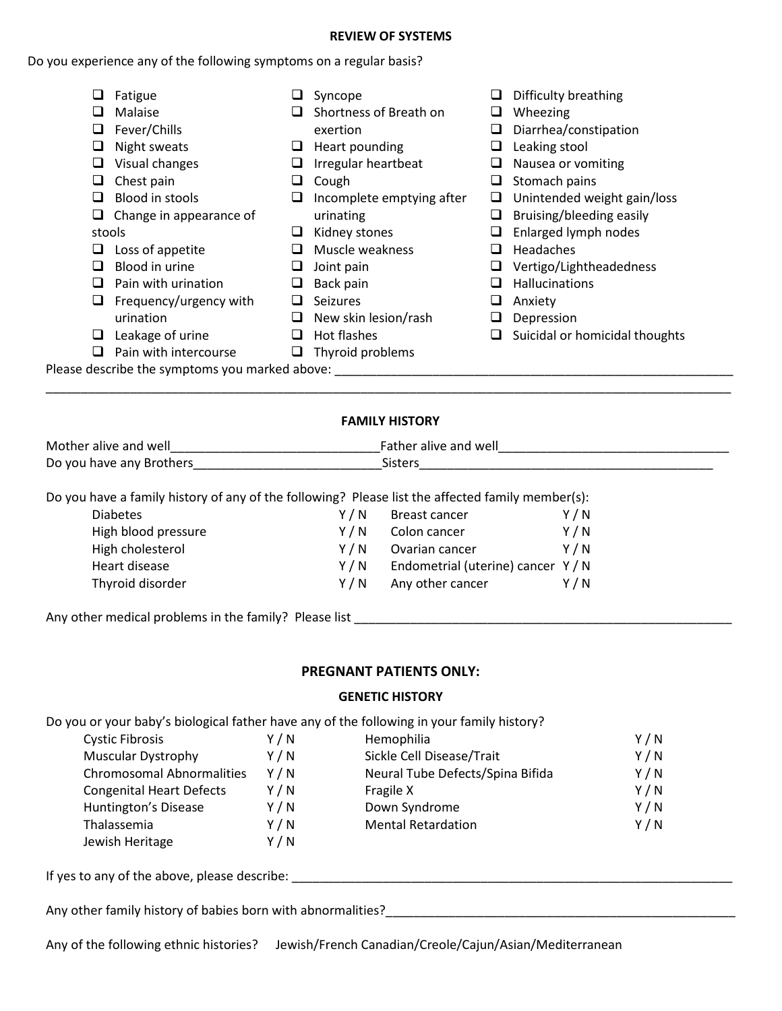#### **REVIEW OF SYSTEMS**

## Do you experience any of the following symptoms on a regular basis?

|   | Fatigue                                        |   | Syncope                   |                          | Difficulty breathing           |
|---|------------------------------------------------|---|---------------------------|--------------------------|--------------------------------|
|   | Malaise                                        |   | Shortness of Breath on    |                          | Wheezing                       |
|   | Fever/Chills                                   |   | exertion                  |                          | Diarrhea/constipation          |
|   | Night sweats                                   |   | Heart pounding            |                          | Leaking stool                  |
|   | Visual changes                                 |   | Irregular heartbeat       | ⊔                        | Nausea or vomiting             |
|   | Chest pain                                     |   | Cough                     |                          | Stomach pains                  |
|   | Blood in stools                                |   | Incomplete emptying after | ⊔                        | Unintended weight gain/loss    |
|   | Change in appearance of                        |   | urinating                 | ⊔                        | Bruising/bleeding easily       |
|   | stools                                         |   | Kidney stones             |                          | Enlarged lymph nodes           |
|   | Loss of appetite                               |   | Muscle weakness           | $\overline{\phantom{a}}$ | Headaches                      |
|   | Blood in urine                                 |   | Joint pain                |                          | Vertigo/Lightheadedness        |
|   | Pain with urination                            |   | Back pain                 |                          | Hallucinations                 |
| ⊔ | Frequency/urgency with                         |   | Seizures                  | ┙                        | Anxiety                        |
|   | urination                                      |   | New skin lesion/rash      |                          | Depression                     |
|   | Leakage of urine                               | ப | Hot flashes               | ⊔                        | Suicidal or homicidal thoughts |
|   | Pain with intercourse                          | ⊔ | Thyroid problems          |                          |                                |
|   | Please describe the symptoms you marked above: |   |                           |                          |                                |

### **FAMILY HISTORY**

\_\_\_\_\_\_\_\_\_\_\_\_\_\_\_\_\_\_\_\_\_\_\_\_\_\_\_\_\_\_\_\_\_\_\_\_\_\_\_\_\_\_\_\_\_\_\_\_\_\_\_\_\_\_\_\_\_\_\_\_\_\_\_\_\_\_\_\_\_\_\_\_\_\_\_\_\_\_\_\_\_\_\_\_\_\_\_\_\_\_\_\_\_\_\_\_\_\_

| Mother alive and well    | ather alive and well. |
|--------------------------|-----------------------|
| Do you have any Brothers |                       |

Do you have a family history of any of the following? Please list the affected family member(s):

| <b>Diabetes</b>     | Y / N | Breast cancer                      | Y / N |
|---------------------|-------|------------------------------------|-------|
| High blood pressure | Y / N | Colon cancer                       | Y/N   |
| High cholesterol    | Y / N | Ovarian cancer                     | Y/N   |
| Heart disease       | Y / N | Endometrial (uterine) cancer Y / N |       |
| Thyroid disorder    | Y / N | Any other cancer                   | Y / N |
|                     |       |                                    |       |

Any other medical problems in the family? Please list \_\_\_\_\_\_\_\_\_\_\_\_\_\_\_\_\_\_\_\_\_\_\_\_\_\_\_\_\_\_\_\_\_\_\_\_\_\_\_\_\_\_\_\_\_\_\_\_\_\_\_\_\_\_

### **PREGNANT PATIENTS ONLY:**

#### **GENETIC HISTORY**

Do you or your baby's biological father have any of the following in your family history?<br>Cystic Fibrosis

| <b>Cystic Fibrosis</b>           | Y/N | Hemophilia                       | Y/N |
|----------------------------------|-----|----------------------------------|-----|
| <b>Muscular Dystrophy</b>        | Y/N | Sickle Cell Disease/Trait        | Y/N |
| <b>Chromosomal Abnormalities</b> | Y/N | Neural Tube Defects/Spina Bifida | Y/N |
| <b>Congenital Heart Defects</b>  | Y/N | Fragile X                        | Y/N |
| Huntington's Disease             | Y/N | Down Syndrome                    | Y/N |
| Thalassemia                      | Y/N | <b>Mental Retardation</b>        | Y/N |
| Jewish Heritage                  | Y/N |                                  |     |

If yes to any of the above, please describe: \_\_\_\_\_\_\_\_\_\_\_\_\_\_\_\_\_\_\_\_\_\_\_\_\_\_\_\_\_\_\_\_\_\_\_\_\_\_\_\_\_\_\_\_\_\_\_\_\_\_\_\_\_\_\_\_\_\_\_\_\_\_\_

Any other family history of babies born with abnormalities?\_\_\_\_\_\_\_\_\_\_\_\_\_\_\_\_\_\_\_\_\_\_\_\_\_\_\_\_\_\_\_\_\_\_\_\_\_\_\_\_\_\_\_\_\_\_\_\_\_\_

Any of the following ethnic histories? Jewish/French Canadian/Creole/Cajun/Asian/Mediterranean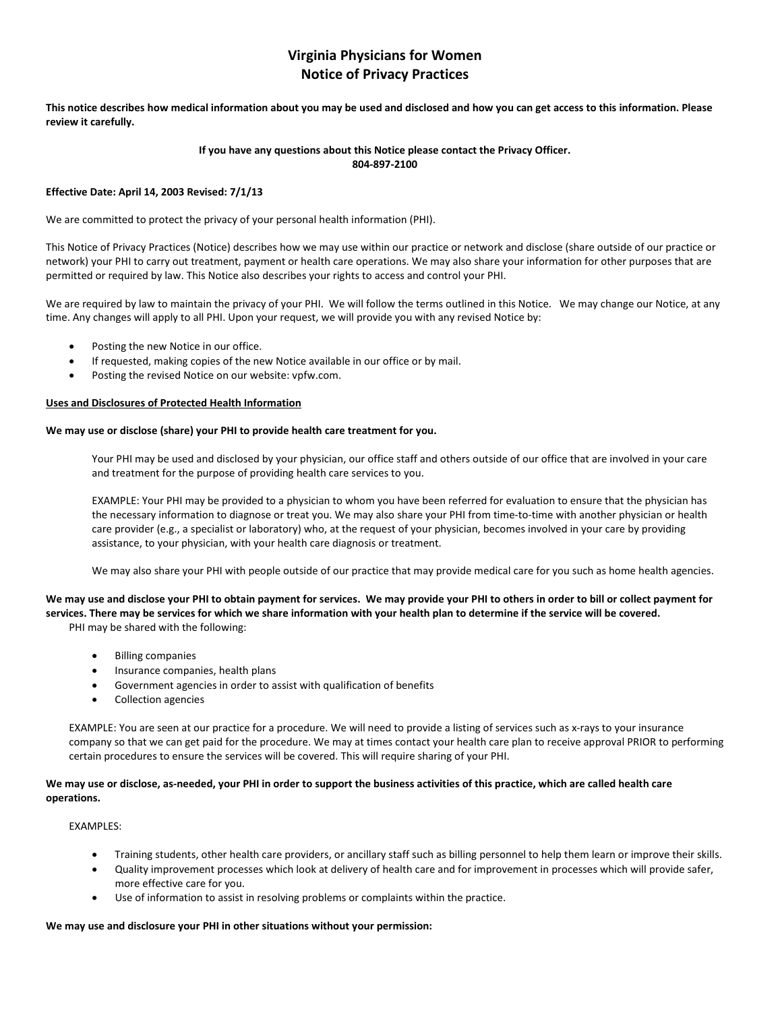## **Virginia Physicians for Women Notice of Privacy Practices**

**This notice describes how medical information about you may be used and disclosed and how you can get access to this information. Please review it carefully.** 

#### **If you have any questions about this Notice please contact the Privacy Officer. 804-897-2100**

#### **Effective Date: April 14, 2003 Revised: 7/1/13**

We are committed to protect the privacy of your personal health information (PHI).

This Notice of Privacy Practices (Notice) describes how we may use within our practice or network and disclose (share outside of our practice or network) your PHI to carry out treatment, payment or health care operations. We may also share your information for other purposes that are permitted or required by law. This Notice also describes your rights to access and control your PHI.

We are required by law to maintain the privacy of your PHI. We will follow the terms outlined in this Notice. We may change our Notice, at any time. Any changes will apply to all PHI. Upon your request, we will provide you with any revised Notice by:

- Posting the new Notice in our office.
- If requested, making copies of the new Notice available in our office or by mail.
- Posting the revised Notice on our website: vpfw.com.

#### **Uses and Disclosures of Protected Health Information**

#### **We may use or disclose (share) your PHI to provide health care treatment for you.**

Your PHI may be used and disclosed by your physician, our office staff and others outside of our office that are involved in your care and treatment for the purpose of providing health care services to you.

EXAMPLE: Your PHI may be provided to a physician to whom you have been referred for evaluation to ensure that the physician has the necessary information to diagnose or treat you. We may also share your PHI from time-to-time with another physician or health care provider (e.g., a specialist or laboratory) who, at the request of your physician, becomes involved in your care by providing assistance, to your physician, with your health care diagnosis or treatment.

We may also share your PHI with people outside of our practice that may provide medical care for you such as home health agencies.

**We may use and disclose your PHI to obtain payment for services. We may provide your PHI to others in order to bill or collect payment for services. There may be services for which we share information with your health plan to determine if the service will be covered.** PHI may be shared with the following:

- Billing companies
- Insurance companies, health plans
- Government agencies in order to assist with qualification of benefits
- Collection agencies

EXAMPLE: You are seen at our practice for a procedure. We will need to provide a listing of services such as x-rays to your insurance company so that we can get paid for the procedure. We may at times contact your health care plan to receive approval PRIOR to performing certain procedures to ensure the services will be covered. This will require sharing of your PHI.

#### **We may use or disclose, as-needed, your PHI in order to support the business activities of this practice, which are called health care operations.**

#### EXAMPLES:

- Training students, other health care providers, or ancillary staff such as billing personnel to help them learn or improve their skills.
- Quality improvement processes which look at delivery of health care and for improvement in processes which will provide safer, more effective care for you.
- Use of information to assist in resolving problems or complaints within the practice.

#### **We may use and disclosure your PHI in other situations without your permission:**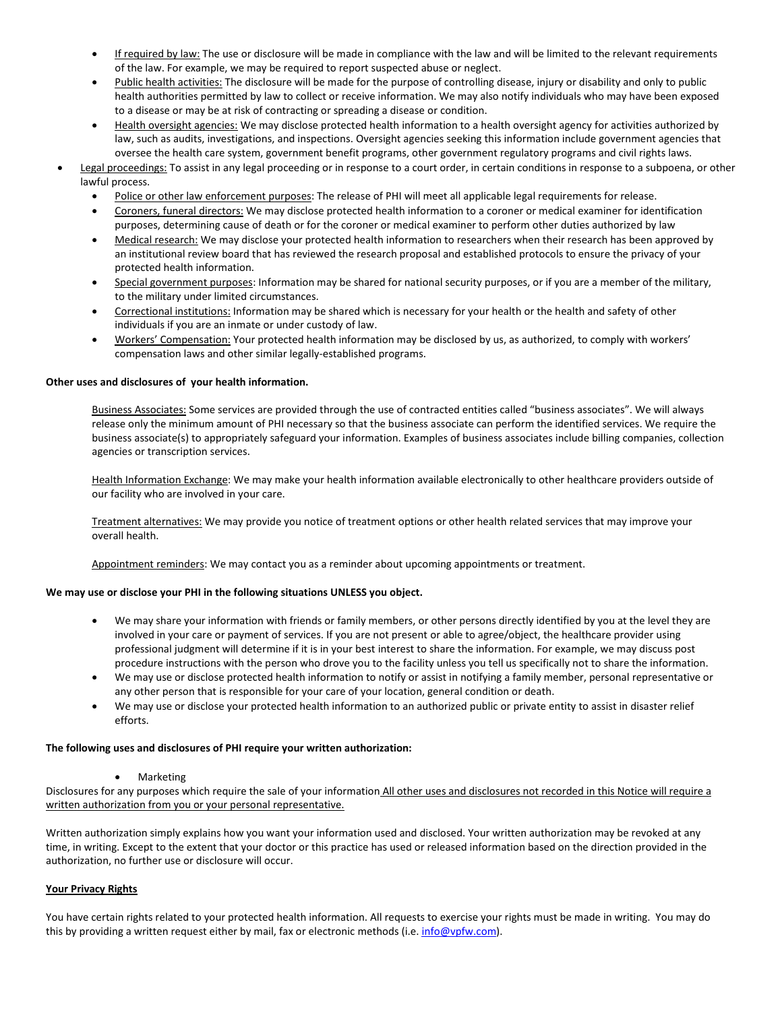- If required by law: The use or disclosure will be made in compliance with the law and will be limited to the relevant requirements of the law. For example, we may be required to report suspected abuse or neglect.
- Public health activities: The disclosure will be made for the purpose of controlling disease, injury or disability and only to public health authorities permitted by law to collect or receive information. We may also notify individuals who may have been exposed to a disease or may be at risk of contracting or spreading a disease or condition.
- Health oversight agencies: We may disclose protected health information to a health oversight agency for activities authorized by law, such as audits, investigations, and inspections. Oversight agencies seeking this information include government agencies that oversee the health care system, government benefit programs, other government regulatory programs and civil rights laws.
- Legal proceedings: To assist in any legal proceeding or in response to a court order, in certain conditions in response to a subpoena, or other lawful process.
	- Police or other law enforcement purposes: The release of PHI will meet all applicable legal requirements for release.
	- Coroners, funeral directors: We may disclose protected health information to a coroner or medical examiner for identification purposes, determining cause of death or for the coroner or medical examiner to perform other duties authorized by law
	- Medical research: We may disclose your protected health information to researchers when their research has been approved by an institutional review board that has reviewed the research proposal and established protocols to ensure the privacy of your protected health information.
	- Special government purposes: Information may be shared for national security purposes, or if you are a member of the military, to the military under limited circumstances.
	- Correctional institutions: Information may be shared which is necessary for your health or the health and safety of other individuals if you are an inmate or under custody of law.
	- Workers' Compensation: Your protected health information may be disclosed by us, as authorized, to comply with workers' compensation laws and other similar legally-established programs.

#### **Other uses and disclosures of your health information.**

Business Associates: Some services are provided through the use of contracted entities called "business associates". We will always release only the minimum amount of PHI necessary so that the business associate can perform the identified services. We require the business associate(s) to appropriately safeguard your information. Examples of business associates include billing companies, collection agencies or transcription services.

Health Information Exchange: We may make your health information available electronically to other healthcare providers outside of our facility who are involved in your care.

Treatment alternatives: We may provide you notice of treatment options or other health related services that may improve your overall health.

Appointment reminders: We may contact you as a reminder about upcoming appointments or treatment.

#### **We may use or disclose your PHI in the following situations UNLESS you object.**

- We may share your information with friends or family members, or other persons directly identified by you at the level they are involved in your care or payment of services. If you are not present or able to agree/object, the healthcare provider using professional judgment will determine if it is in your best interest to share the information. For example, we may discuss post procedure instructions with the person who drove you to the facility unless you tell us specifically not to share the information.
- We may use or disclose protected health information to notify or assist in notifying a family member, personal representative or any other person that is responsible for your care of your location, general condition or death.
- We may use or disclose your protected health information to an authorized public or private entity to assist in disaster relief efforts.

#### **The following uses and disclosures of PHI require your written authorization:**

**Marketing** 

Disclosures for any purposes which require the sale of your information All other uses and disclosures not recorded in this Notice will require a written authorization from you or your personal representative.

Written authorization simply explains how you want your information used and disclosed. Your written authorization may be revoked at any time, in writing. Except to the extent that your doctor or this practice has used or released information based on the direction provided in the authorization, no further use or disclosure will occur.

#### **Your Privacy Rights**

You have certain rights related to your protected health information. All requests to exercise your rights must be made in writing. You may do this by providing a written request either by mail, fax or electronic methods (i.e[. info@vpfw.com\)](mailto:info@vpfw.com).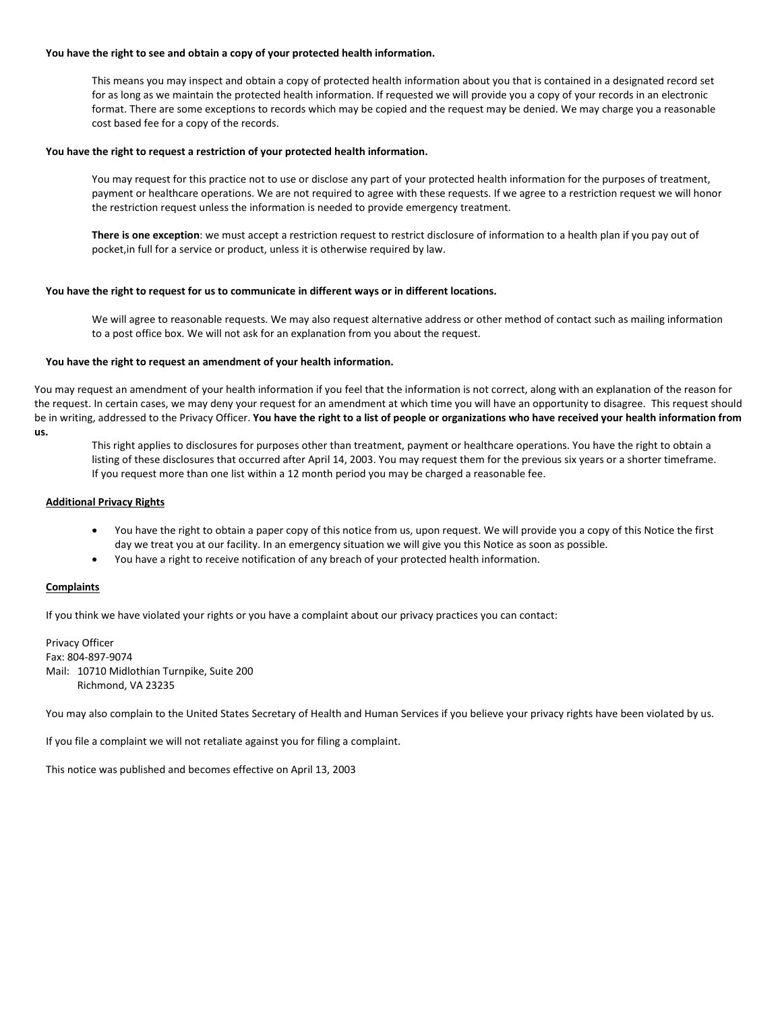#### **You have the right to see and obtain a copy of your protected health information.**

This means you may inspect and obtain a copy of protected health information about you that is contained in a designated record set for as long as we maintain the protected health information. If requested we will provide you a copy of your records in an electronic format. There are some exceptions to records which may be copied and the request may be denied. We may charge you a reasonable cost based fee for a copy of the records.

#### **You have the right to request a restriction of your protected health information.**

You may request for this practice not to use or disclose any part of your protected health information for the purposes of treatment, payment or healthcare operations. We are not required to agree with these requests. If we agree to a restriction request we will honor the restriction request unless the information is needed to provide emergency treatment.

**There is one exception**: we must accept a restriction request to restrict disclosure of information to a health plan if you pay out of pocket,in full for a service or product, unless it is otherwise required by law.

#### **You have the right to request for us to communicate in different ways or in different locations.**

We will agree to reasonable requests. We may also request alternative address or other method of contact such as mailing information to a post office box. We will not ask for an explanation from you about the request.

#### **You have the right to request an amendment of your health information.**

You may request an amendment of your health information if you feel that the information is not correct, along with an explanation of the reason for the request. In certain cases, we may deny your request for an amendment at which time you will have an opportunity to disagree. This request should be in writing, addressed to the Privacy Officer. **You have the right to a list of people or organizations who have received your health information from us.**

This right applies to disclosures for purposes other than treatment, payment or healthcare operations. You have the right to obtain a listing of these disclosures that occurred after April 14, 2003. You may request them for the previous six years or a shorter timeframe. If you request more than one list within a 12 month period you may be charged a reasonable fee.

#### **Additional Privacy Rights**

- You have the right to obtain a paper copy of this notice from us, upon request. We will provide you a copy of this Notice the first day we treat you at our facility. In an emergency situation we will give you this Notice as soon as possible.
- You have a right to receive notification of any breach of your protected health information.

#### **Complaints**

If you think we have violated your rights or you have a complaint about our privacy practices you can contact:

Privacy Officer Fax: 804-897-9074 Mail: 10710 Midlothian Turnpike, Suite 200 Richmond, VA 23235

You may also complain to the United States Secretary of Health and Human Services if you believe your privacy rights have been violated by us.

If you file a complaint we will not retaliate against you for filing a complaint.

This notice was published and becomes effective on April 13, 2003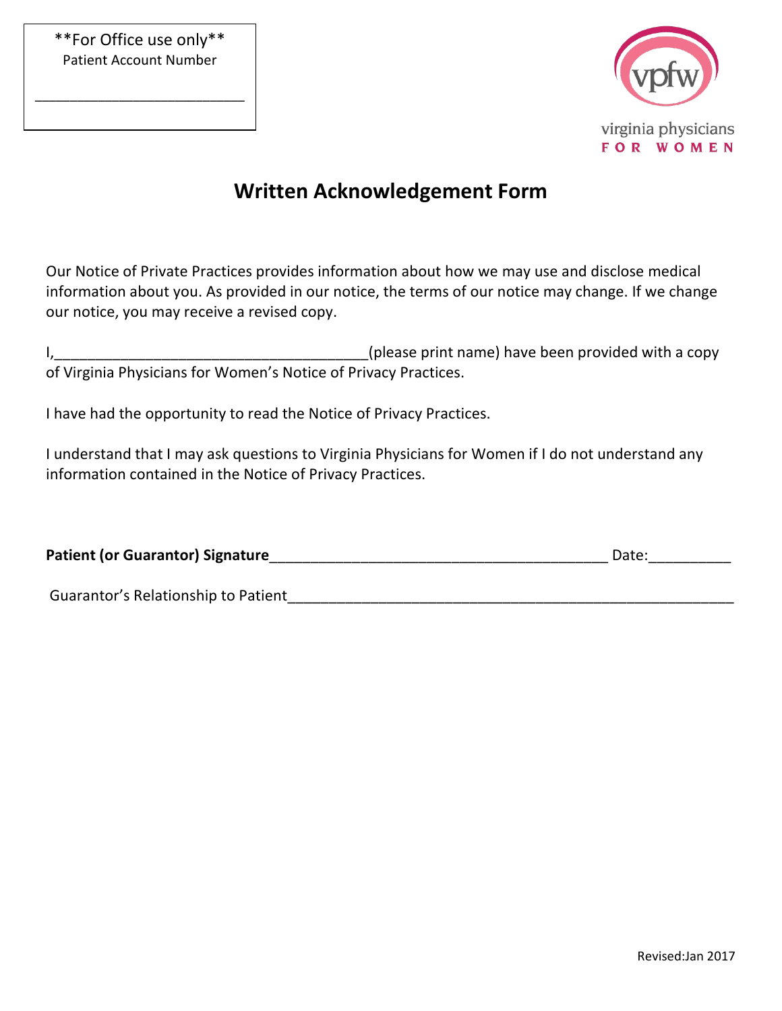\_\_\_\_\_\_\_\_\_\_\_\_\_\_\_\_\_\_\_\_\_\_\_\_\_\_\_\_\_\_



# **Written Acknowledgement Form**

Our Notice of Private Practices provides information about how we may use and disclose medical information about you. As provided in our notice, the terms of our notice may change. If we change our notice, you may receive a revised copy.

| (please print name) have been provided with a copy              |
|-----------------------------------------------------------------|
| of Virginia Physicians for Women's Notice of Privacy Practices. |

I have had the opportunity to read the Notice of Privacy Practices.

I understand that I may ask questions to Virginia Physicians for Women if I do not understand any information contained in the Notice of Privacy Practices.

| <b>Patient (or Guarantor) Signature</b> | Date. |
|-----------------------------------------|-------|
|                                         |       |

Guarantor's Relationship to Patient\_\_\_\_\_\_\_\_\_\_\_\_\_\_\_\_\_\_\_\_\_\_\_\_\_\_\_\_\_\_\_\_\_\_\_\_\_\_\_\_\_\_\_\_\_\_\_\_\_\_\_\_\_\_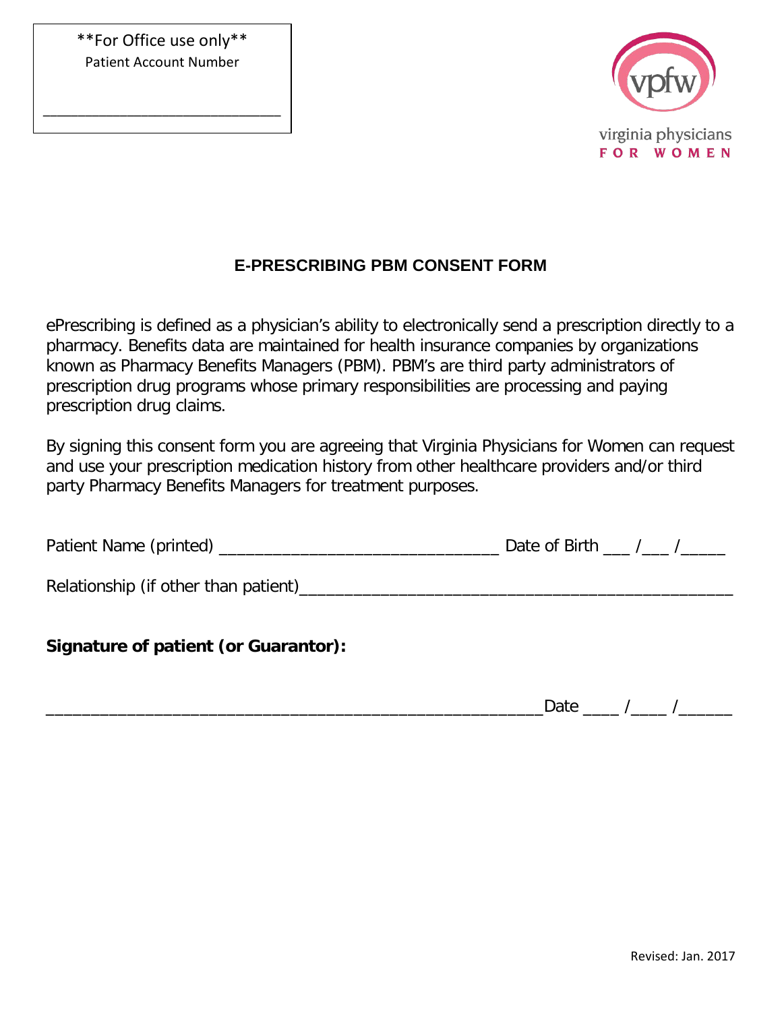\*\*For Office use only\*\* Patient Account Number

\_\_\_\_\_\_\_\_\_\_\_\_\_\_\_\_\_\_\_\_\_\_\_\_\_\_\_\_\_\_\_\_\_\_



## **E-PRESCRIBING PBM CONSENT FORM**

ePrescribing is defined as a physician's ability to electronically send a prescription directly to a pharmacy. Benefits data are maintained for health insurance companies by organizations known as Pharmacy Benefits Managers (PBM). PBM's are third party administrators of prescription drug programs whose primary responsibilities are processing and paying prescription drug claims.

By signing this consent form you are agreeing that Virginia Physicians for Women can request and use your prescription medication history from other healthcare providers and/or third party Pharmacy Benefits Managers for treatment purposes.

| Patient Name (printed) |  | Date of Birth |  |  |
|------------------------|--|---------------|--|--|
|                        |  |               |  |  |
|                        |  |               |  |  |

Relationship (if other than patient)\_\_\_\_\_\_\_\_\_\_\_\_\_\_\_\_\_\_\_\_\_\_\_\_\_\_\_\_\_\_\_\_\_\_\_\_\_\_\_\_\_\_\_\_\_\_\_\_

## **Signature of patient (or Guarantor):**

 $\Delta$ Date  $\frac{1}{2}$  / $\frac{1}{2}$  / $\frac{1}{2}$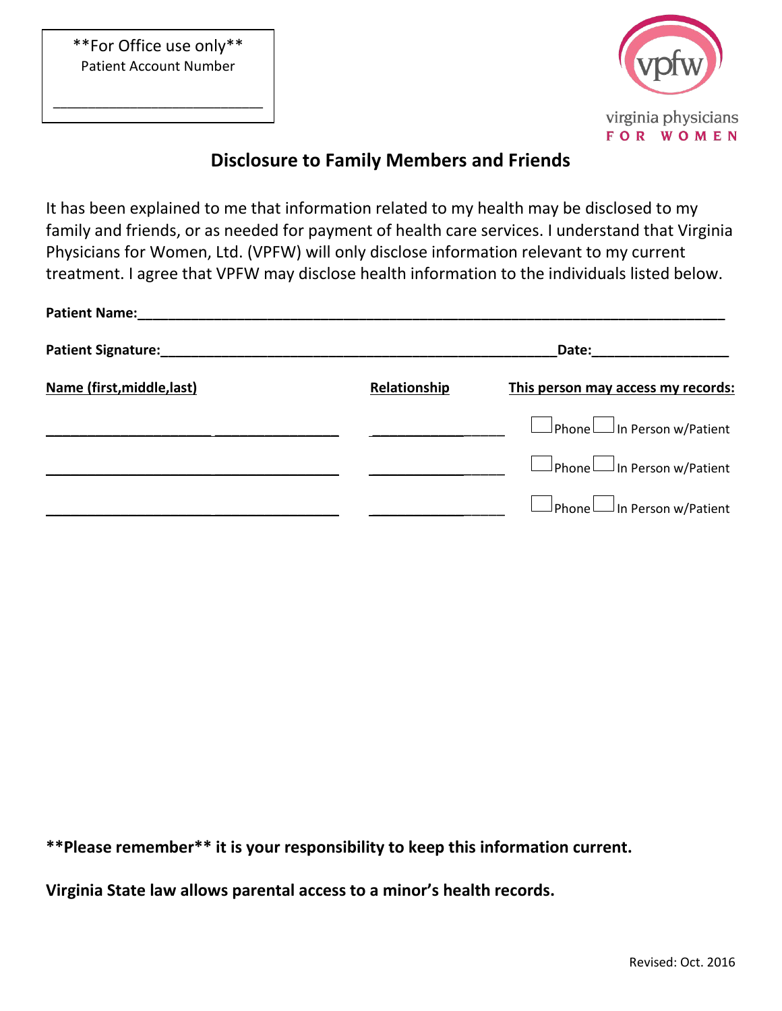\*\*For Office use only\*\* Patient Account Number

\_\_\_\_\_\_\_\_\_\_\_\_\_\_\_\_\_\_\_\_\_\_\_\_\_\_\_\_\_\_



## **Disclosure to Family Members and Friends**

It has been explained to me that information related to my health may be disclosed to my family and friends, or as needed for payment of health care services. I understand that Virginia Physicians for Women, Ltd. (VPFW) will only disclose information relevant to my current treatment. I agree that VPFW may disclose health information to the individuals listed below.

| <b>Patient Name:</b>                           |              |                                         |
|------------------------------------------------|--------------|-----------------------------------------|
| Patient Signature: Material Patient Signature: |              | Date: _________________                 |
| Name (first, middle, last)                     | Relationship | This person may access my records:      |
|                                                |              | $\Box$ Phone $\Box$ In Person w/Patient |
|                                                |              | $\Box$ Phone $\Box$ In Person w/Patient |
|                                                |              | $\Box$ Phone $\Box$ In Person w/Patient |

**\*\*Please remember\*\* it is your responsibility to keep this information current.**

**Virginia State law allows parental access to a minor's health records.**